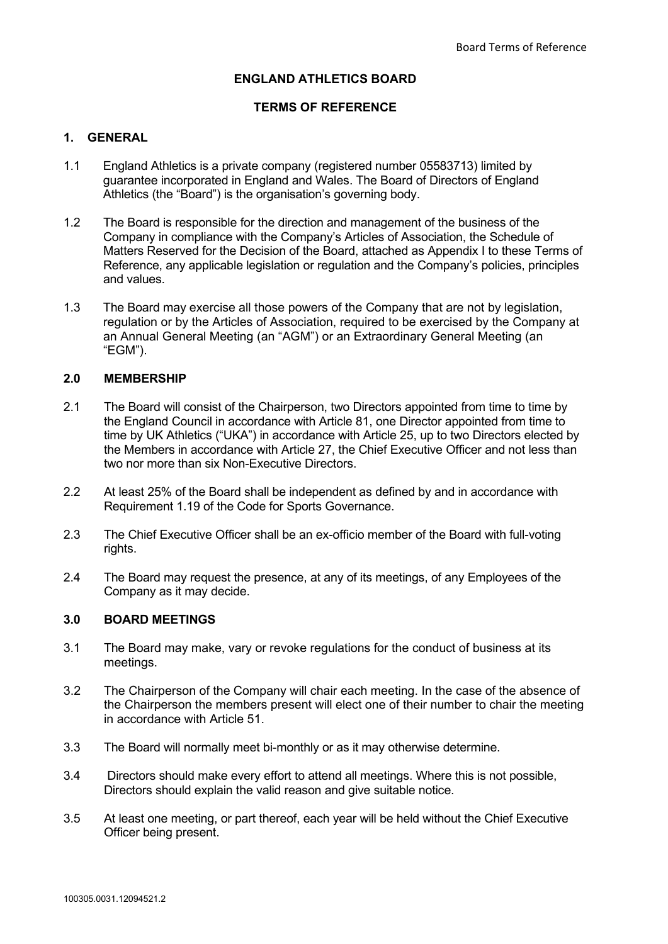### **ENGLAND ATHLETICS BOARD**

### **TERMS OF REFERENCE**

## **1. GENERAL**

- 1.1 England Athletics is a private company (registered number 05583713) limited by guarantee incorporated in England and Wales. The Board of Directors of England Athletics (the "Board") is the organisation's governing body.
- 1.2 The Board is responsible for the direction and management of the business of the Company in compliance with the Company's Articles of Association, the Schedule of Matters Reserved for the Decision of the Board, attached as Appendix I to these Terms of Reference, any applicable legislation or regulation and the Company's policies, principles and values.
- 1.3 The Board may exercise all those powers of the Company that are not by legislation, regulation or by the Articles of Association, required to be exercised by the Company at an Annual General Meeting (an "AGM") or an Extraordinary General Meeting (an "EGM").

#### **2.0 MEMBERSHIP**

- 2.1 The Board will consist of the Chairperson, two Directors appointed from time to time by the England Council in accordance with Article 81, one Director appointed from time to time by UK Athletics ("UKA") in accordance with Article 25, up to two Directors elected by the Members in accordance with Article 27, the Chief Executive Officer and not less than two nor more than six Non-Executive Directors.
- 2.2 At least 25% of the Board shall be independent as defined by and in accordance with Requirement 1.19 of the Code for Sports Governance.
- 2.3 The Chief Executive Officer shall be an ex-officio member of the Board with full-voting rights.
- 2.4 The Board may request the presence, at any of its meetings, of any Employees of the Company as it may decide.

#### **3.0 BOARD MEETINGS**

- 3.1 The Board may make, vary or revoke regulations for the conduct of business at its meetings.
- 3.2 The Chairperson of the Company will chair each meeting. In the case of the absence of the Chairperson the members present will elect one of their number to chair the meeting in accordance with Article 51.
- 3.3 The Board will normally meet bi-monthly or as it may otherwise determine.
- 3.4 Directors should make every effort to attend all meetings. Where this is not possible, Directors should explain the valid reason and give suitable notice.
- 3.5 At least one meeting, or part thereof, each year will be held without the Chief Executive Officer being present.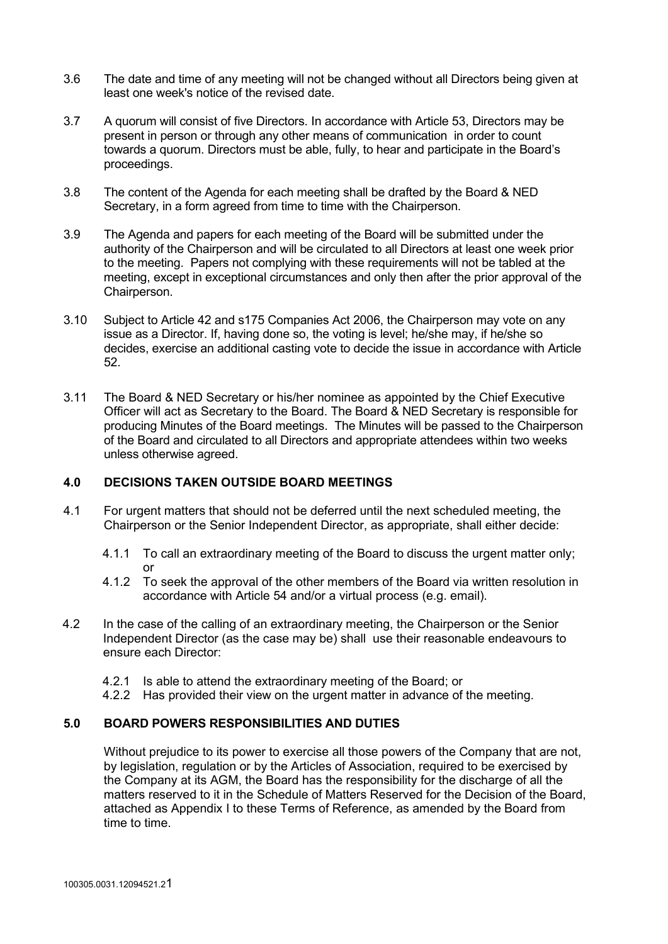- 3.6 The date and time of any meeting will not be changed without all Directors being given at least one week's notice of the revised date.
- 3.7 A quorum will consist of five Directors. In accordance with Article 53, Directors may be present in person or through any other means of communication in order to count towards a quorum. Directors must be able, fully, to hear and participate in the Board's proceedings.
- 3.8 The content of the Agenda for each meeting shall be drafted by the Board & NED Secretary, in a form agreed from time to time with the Chairperson.
- 3.9 The Agenda and papers for each meeting of the Board will be submitted under the authority of the Chairperson and will be circulated to all Directors at least one week prior to the meeting. Papers not complying with these requirements will not be tabled at the meeting, except in exceptional circumstances and only then after the prior approval of the Chairperson.
- 3.10 Subject to Article 42 and s175 Companies Act 2006, the Chairperson may vote on any issue as a Director. If, having done so, the voting is level; he/she may, if he/she so decides, exercise an additional casting vote to decide the issue in accordance with Article 52.
- 3.11 The Board & NED Secretary or his/her nominee as appointed by the Chief Executive Officer will act as Secretary to the Board. The Board & NED Secretary is responsible for producing Minutes of the Board meetings. The Minutes will be passed to the Chairperson of the Board and circulated to all Directors and appropriate attendees within two weeks unless otherwise agreed.

#### **4.0 DECISIONS TAKEN OUTSIDE BOARD MEETINGS**

- 4.1 For urgent matters that should not be deferred until the next scheduled meeting, the Chairperson or the Senior Independent Director, as appropriate, shall either decide:
	- 4.1.1 To call an extraordinary meeting of the Board to discuss the urgent matter only; or
	- 4.1.2 To seek the approval of the other members of the Board via written resolution in accordance with Article 54 and/or a virtual process (e.g. email).
- 4.2 In the case of the calling of an extraordinary meeting, the Chairperson or the Senior Independent Director (as the case may be) shall use their reasonable endeavours to ensure each Director:
	- 4.2.1 Is able to attend the extraordinary meeting of the Board; or
	- 4.2.2 Has provided their view on the urgent matter in advance of the meeting.

### **5.0 BOARD POWERS RESPONSIBILITIES AND DUTIES**

Without prejudice to its power to exercise all those powers of the Company that are not, by legislation, regulation or by the Articles of Association, required to be exercised by the Company at its AGM, the Board has the responsibility for the discharge of all the matters reserved to it in the Schedule of Matters Reserved for the Decision of the Board, attached as Appendix I to these Terms of Reference, as amended by the Board from time to time.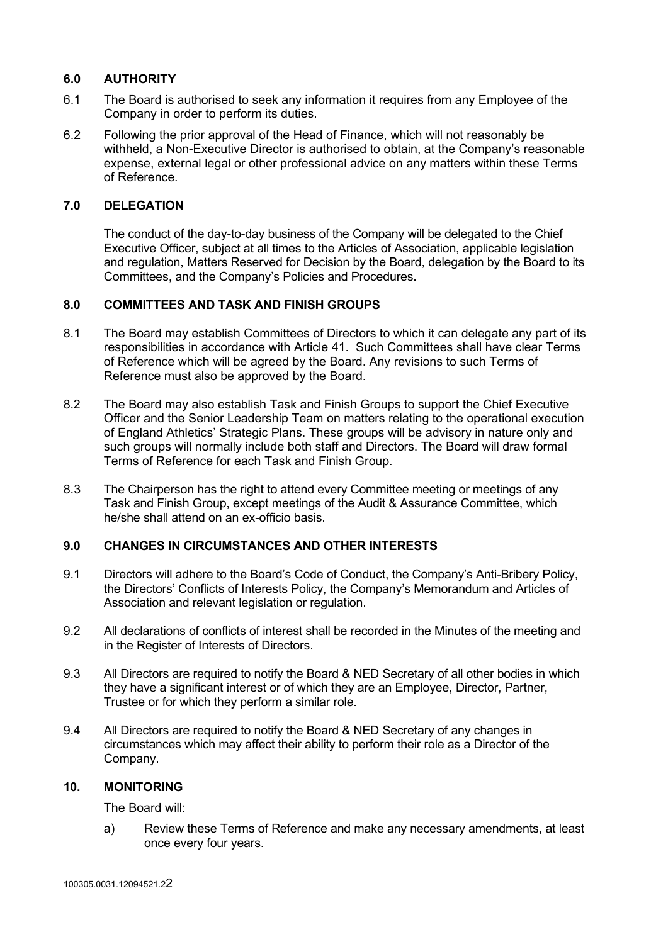## **6.0 AUTHORITY**

- 6.1 The Board is authorised to seek any information it requires from any Employee of the Company in order to perform its duties.
- 6.2 Following the prior approval of the Head of Finance, which will not reasonably be withheld, a Non-Executive Director is authorised to obtain, at the Company's reasonable expense, external legal or other professional advice on any matters within these Terms of Reference.

### **7.0 DELEGATION**

The conduct of the day-to-day business of the Company will be delegated to the Chief Executive Officer, subject at all times to the Articles of Association, applicable legislation and regulation, Matters Reserved for Decision by the Board, delegation by the Board to its Committees, and the Company's Policies and Procedures.

### **8.0 COMMITTEES AND TASK AND FINISH GROUPS**

- 8.1 The Board may establish Committees of Directors to which it can delegate any part of its responsibilities in accordance with Article 41. Such Committees shall have clear Terms of Reference which will be agreed by the Board. Any revisions to such Terms of Reference must also be approved by the Board.
- 8.2 The Board may also establish Task and Finish Groups to support the Chief Executive Officer and the Senior Leadership Team on matters relating to the operational execution of England Athletics' Strategic Plans. These groups will be advisory in nature only and such groups will normally include both staff and Directors. The Board will draw formal Terms of Reference for each Task and Finish Group.
- 8.3 The Chairperson has the right to attend every Committee meeting or meetings of any Task and Finish Group, except meetings of the Audit & Assurance Committee, which he/she shall attend on an ex-officio basis.

### **9.0 CHANGES IN CIRCUMSTANCES AND OTHER INTERESTS**

- 9.1 Directors will adhere to the Board's Code of Conduct, the Company's Anti-Bribery Policy, the Directors' Conflicts of Interests Policy, the Company's Memorandum and Articles of Association and relevant legislation or regulation.
- 9.2 All declarations of conflicts of interest shall be recorded in the Minutes of the meeting and in the Register of Interests of Directors.
- 9.3 All Directors are required to notify the Board & NED Secretary of all other bodies in which they have a significant interest or of which they are an Employee, Director, Partner, Trustee or for which they perform a similar role.
- 9.4 All Directors are required to notify the Board & NED Secretary of any changes in circumstances which may affect their ability to perform their role as a Director of the Company.

#### **10. MONITORING**

The Board will:

a) Review these Terms of Reference and make any necessary amendments, at least once every four years.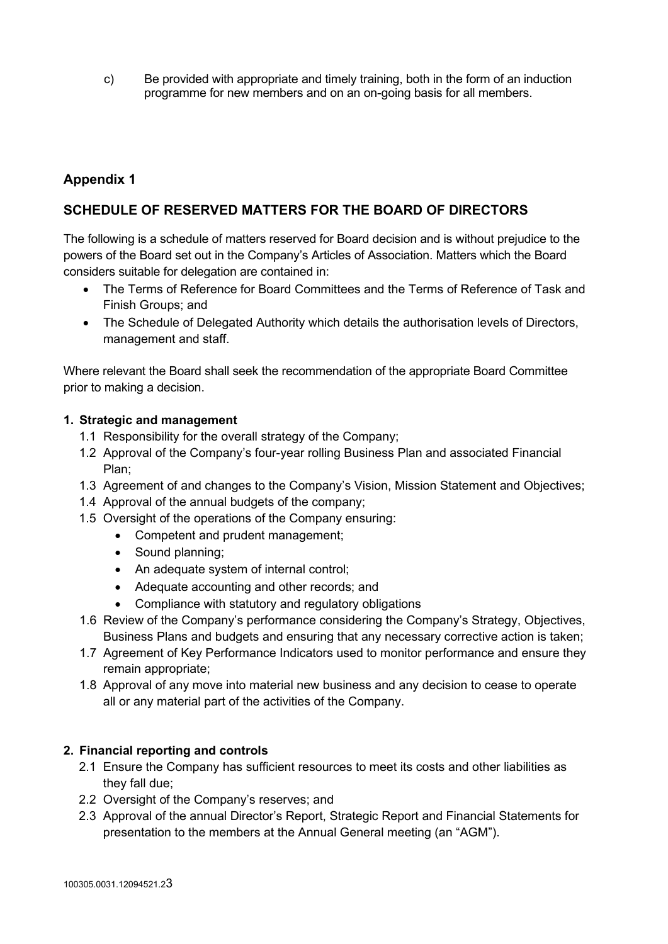c) Be provided with appropriate and timely training, both in the form of an induction programme for new members and on an on-going basis for all members.

# **Appendix 1**

## **SCHEDULE OF RESERVED MATTERS FOR THE BOARD OF DIRECTORS**

The following is a schedule of matters reserved for Board decision and is without prejudice to the powers of the Board set out in the Company's Articles of Association. Matters which the Board considers suitable for delegation are contained in:

- The Terms of Reference for Board Committees and the Terms of Reference of Task and Finish Groups; and
- The Schedule of Delegated Authority which details the authorisation levels of Directors, management and staff.

Where relevant the Board shall seek the recommendation of the appropriate Board Committee prior to making a decision.

### **1. Strategic and management**

- 1.1 Responsibility for the overall strategy of the Company;
- 1.2 Approval of the Company's four-year rolling Business Plan and associated Financial Plan;
- 1.3 Agreement of and changes to the Company's Vision, Mission Statement and Objectives;
- 1.4 Approval of the annual budgets of the company;
- 1.5 Oversight of the operations of the Company ensuring:
	- Competent and prudent management;
	- Sound planning:
	- An adequate system of internal control;
	- Adequate accounting and other records; and
	- Compliance with statutory and regulatory obligations
- 1.6 Review of the Company's performance considering the Company's Strategy, Objectives, Business Plans and budgets and ensuring that any necessary corrective action is taken;
- 1.7 Agreement of Key Performance Indicators used to monitor performance and ensure they remain appropriate;
- 1.8 Approval of any move into material new business and any decision to cease to operate all or any material part of the activities of the Company.

## **2. Financial reporting and controls**

- 2.1 Ensure the Company has sufficient resources to meet its costs and other liabilities as they fall due;
- 2.2 Oversight of the Company's reserves; and
- 2.3 Approval of the annual Director's Report, Strategic Report and Financial Statements for presentation to the members at the Annual General meeting (an "AGM").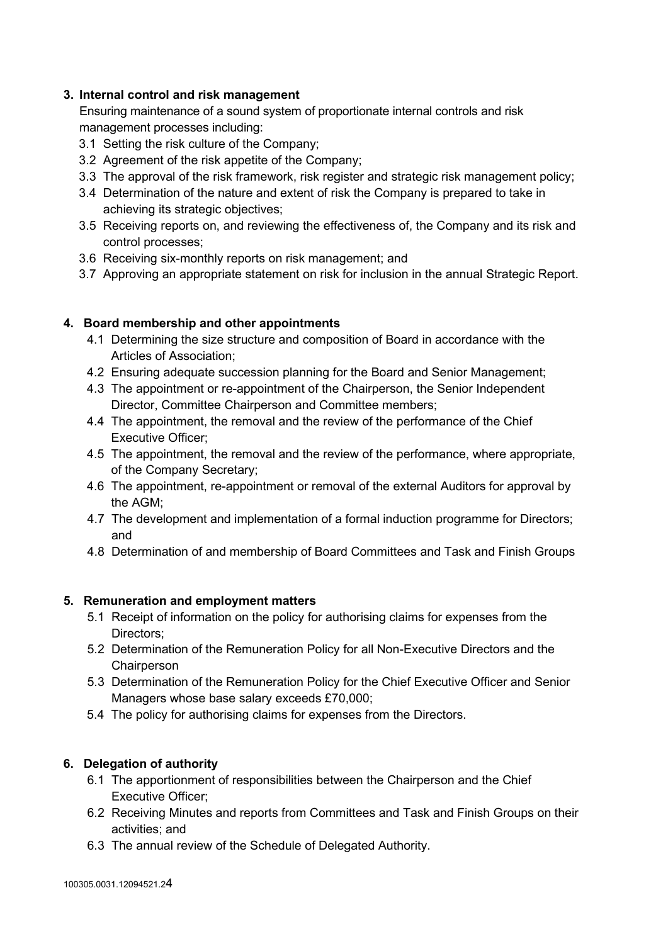## **3. Internal control and risk management**

Ensuring maintenance of a sound system of proportionate internal controls and risk management processes including:

- 3.1 Setting the risk culture of the Company;
- 3.2 Agreement of the risk appetite of the Company;
- 3.3 The approval of the risk framework, risk register and strategic risk management policy;
- 3.4 Determination of the nature and extent of risk the Company is prepared to take in achieving its strategic objectives;
- 3.5 Receiving reports on, and reviewing the effectiveness of, the Company and its risk and control processes;
- 3.6 Receiving six-monthly reports on risk management; and
- 3.7 Approving an appropriate statement on risk for inclusion in the annual Strategic Report.

## **4. Board membership and other appointments**

- 4.1 Determining the size structure and composition of Board in accordance with the Articles of Association;
- 4.2 Ensuring adequate succession planning for the Board and Senior Management;
- 4.3 The appointment or re-appointment of the Chairperson, the Senior Independent Director, Committee Chairperson and Committee members;
- 4.4 The appointment, the removal and the review of the performance of the Chief Executive Officer;
- 4.5 The appointment, the removal and the review of the performance, where appropriate, of the Company Secretary;
- 4.6 The appointment, re-appointment or removal of the external Auditors for approval by the AGM;
- 4.7 The development and implementation of a formal induction programme for Directors; and
- 4.8 Determination of and membership of Board Committees and Task and Finish Groups

## **5. Remuneration and employment matters**

- 5.1 Receipt of information on the policy for authorising claims for expenses from the Directors;
- 5.2 Determination of the Remuneration Policy for all Non-Executive Directors and the **Chairperson**
- 5.3 Determination of the Remuneration Policy for the Chief Executive Officer and Senior Managers whose base salary exceeds £70,000;
- 5.4 The policy for authorising claims for expenses from the Directors.

## **6. Delegation of authority**

- 6.1 The apportionment of responsibilities between the Chairperson and the Chief Executive Officer;
- 6.2 Receiving Minutes and reports from Committees and Task and Finish Groups on their activities; and
- 6.3 The annual review of the Schedule of Delegated Authority.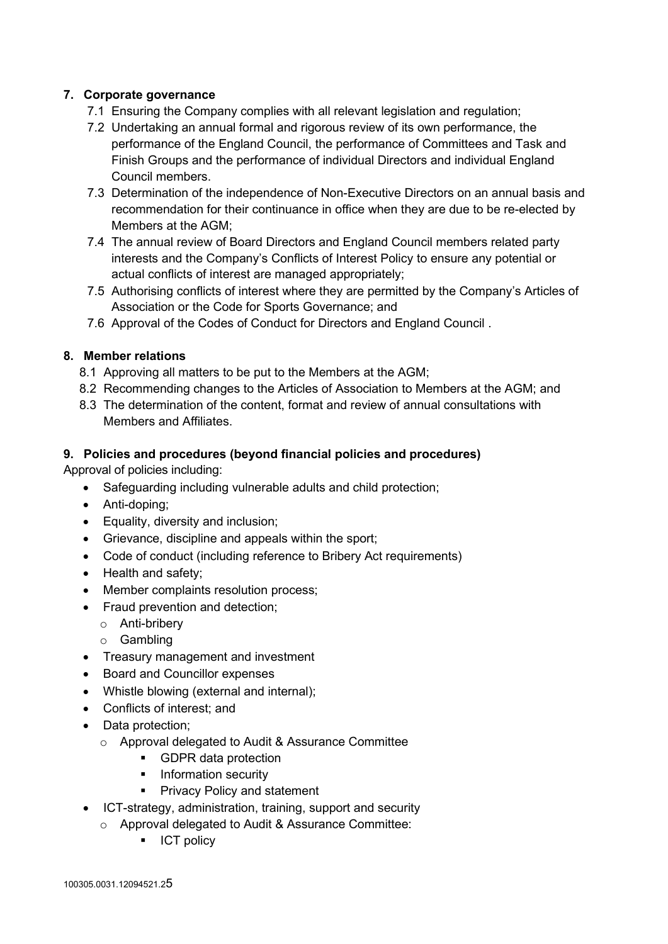## **7. Corporate governance**

- 7.1 Ensuring the Company complies with all relevant legislation and regulation;
- 7.2 Undertaking an annual formal and rigorous review of its own performance, the performance of the England Council, the performance of Committees and Task and Finish Groups and the performance of individual Directors and individual England Council members.
- 7.3 Determination of the independence of Non-Executive Directors on an annual basis and recommendation for their continuance in office when they are due to be re-elected by Members at the AGM;
- 7.4 The annual review of Board Directors and England Council members related party interests and the Company's Conflicts of Interest Policy to ensure any potential or actual conflicts of interest are managed appropriately;
- 7.5 Authorising conflicts of interest where they are permitted by the Company's Articles of Association or the Code for Sports Governance; and
- 7.6 Approval of the Codes of Conduct for Directors and England Council .

## **8. Member relations**

- 8.1 Approving all matters to be put to the Members at the AGM;
- 8.2 Recommending changes to the Articles of Association to Members at the AGM; and
- 8.3 The determination of the content, format and review of annual consultations with Members and Affiliates.

## **9. Policies and procedures (beyond financial policies and procedures)**

Approval of policies including:

- Safeguarding including vulnerable adults and child protection;
- Anti-doping;
- Equality, diversity and inclusion;
- Grievance, discipline and appeals within the sport;
- Code of conduct (including reference to Bribery Act requirements)
- Health and safety:
- Member complaints resolution process;
- Fraud prevention and detection;
	- o Anti-bribery
	- o Gambling
- Treasury management and investment
- Board and Councillor expenses
- Whistle blowing (external and internal);
- Conflicts of interest; and
- Data protection;
	- o Approval delegated to Audit & Assurance Committee
		- **GDPR** data protection
		- **Information security**
		- **Privacy Policy and statement**
- ICT-strategy, administration, training, support and security
	- o Approval delegated to Audit & Assurance Committee:
		- **ICT** policy